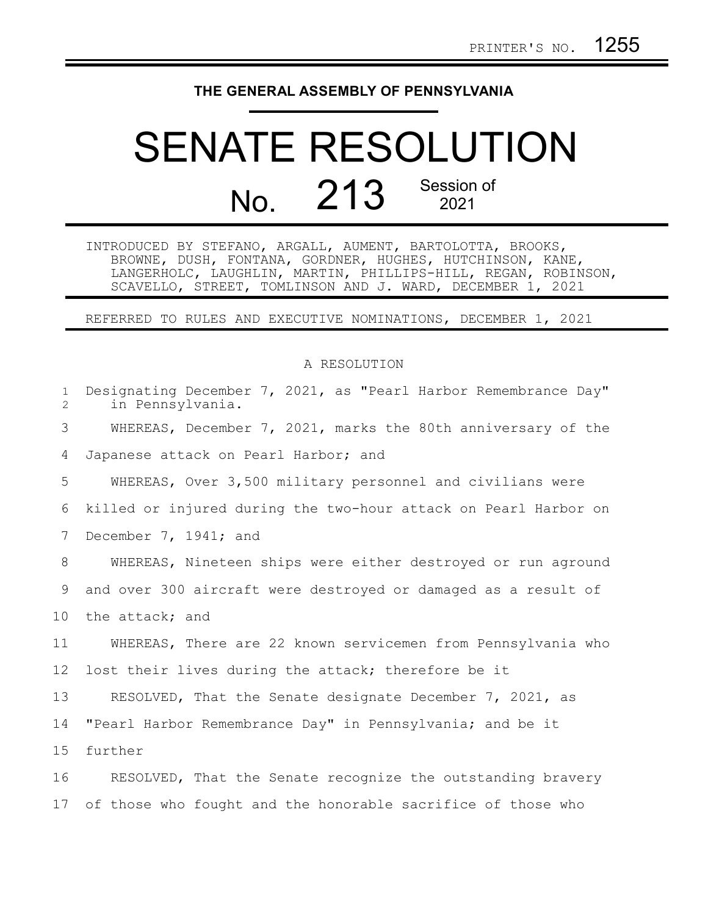## **THE GENERAL ASSEMBLY OF PENNSYLVANIA**

## SENATE RESOLUTION No. 213 Session of

INTRODUCED BY STEFANO, ARGALL, AUMENT, BARTOLOTTA, BROOKS, BROWNE, DUSH, FONTANA, GORDNER, HUGHES, HUTCHINSON, KANE, LANGERHOLC, LAUGHLIN, MARTIN, PHILLIPS-HILL, REGAN, ROBINSON, SCAVELLO, STREET, TOMLINSON AND J. WARD, DECEMBER 1, 2021

REFERRED TO RULES AND EXECUTIVE NOMINATIONS, DECEMBER 1, 2021

## A RESOLUTION

| $\mathbf{1}$<br>$\overline{2}$ | Designating December 7, 2021, as "Pearl Harbor Remembrance Day"<br>in Pennsylvania. |
|--------------------------------|-------------------------------------------------------------------------------------|
| 3                              | WHEREAS, December 7, 2021, marks the 80th anniversary of the                        |
| 4                              | Japanese attack on Pearl Harbor; and                                                |
| 5                              | WHEREAS, Over 3,500 military personnel and civilians were                           |
| 6                              | killed or injured during the two-hour attack on Pearl Harbor on                     |
| 7                              | December 7, 1941; and                                                               |
| 8                              | WHEREAS, Nineteen ships were either destroyed or run aground                        |
| 9                              | and over 300 aircraft were destroyed or damaged as a result of                      |
| 10                             | the attack; and                                                                     |
| 11                             | WHEREAS, There are 22 known servicemen from Pennsylvania who                        |
| 12                             | lost their lives during the attack; therefore be it                                 |
| 13                             | RESOLVED, That the Senate designate December 7, 2021, as                            |
| 14                             | "Pearl Harbor Remembrance Day" in Pennsylvania; and be it                           |
| 15                             | further                                                                             |
| 16                             | RESOLVED, That the Senate recognize the outstanding bravery                         |
| 17                             | of those who fought and the honorable sacrifice of those who                        |